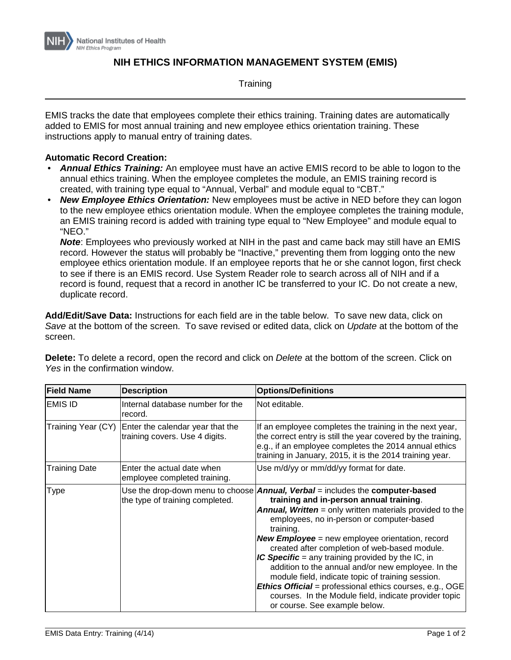

## **NIH ETHICS INFORMATION MANAGEMENT SYSTEM (EMIS)**

**Training** 

EMIS tracks the date that employees complete their ethics training. Training dates are automatically added to EMIS for most annual training and new employee ethics orientation training. These instructions apply to manual entry of training dates.

## **Automatic Record Creation:**

- *Annual Ethics Training:* An employee must have an active EMIS record to be able to logon to the annual ethics training. When the employee completes the module, an EMIS training record is created, with training type equal to "Annual, Verbal" and module equal to "CBT."
- *New Employee Ethics Orientation:* New employees must be active in NED before they can logon to the new employee ethics orientation module. When the employee completes the training module, an EMIS training record is added with training type equal to "New Employee" and module equal to "NEO."

*Note*: Employees who previously worked at NIH in the past and came back may still have an EMIS record. However the status will probably be "Inactive," preventing them from logging onto the new employee ethics orientation module. If an employee reports that he or she cannot logon, first check to see if there is an EMIS record. Use System Reader role to search across all of NIH and if a record is found, request that a record in another IC be transferred to your IC. Do not create a new, duplicate record.

**Add/Edit/Save Data:** Instructions for each field are in the table below. To save new data, click on *Save* at the bottom of the screen. To save revised or edited data, click on *Update* at the bottom of the screen.

| <b>Field Name</b>    | <b>Description</b>                                                 | <b>Options/Definitions</b>                                                                                                                                                                                                                                                                                                                                                                                                                                                                                                                                                                                                                                                                                  |
|----------------------|--------------------------------------------------------------------|-------------------------------------------------------------------------------------------------------------------------------------------------------------------------------------------------------------------------------------------------------------------------------------------------------------------------------------------------------------------------------------------------------------------------------------------------------------------------------------------------------------------------------------------------------------------------------------------------------------------------------------------------------------------------------------------------------------|
| <b>EMIS ID</b>       | Internal database number for the<br>record.                        | Not editable.                                                                                                                                                                                                                                                                                                                                                                                                                                                                                                                                                                                                                                                                                               |
| Training Year (CY)   | Enter the calendar year that the<br>training covers. Use 4 digits. | If an employee completes the training in the next year,<br>the correct entry is still the year covered by the training,<br>e.g., if an employee completes the 2014 annual ethics<br>training in January, 2015, it is the 2014 training year.                                                                                                                                                                                                                                                                                                                                                                                                                                                                |
| <b>Training Date</b> | Enter the actual date when<br>employee completed training.         | Use m/d/yy or mm/dd/yy format for date.                                                                                                                                                                                                                                                                                                                                                                                                                                                                                                                                                                                                                                                                     |
| Type                 | the type of training completed.                                    | Use the drop-down menu to choose <b>Annual, Verbal</b> = includes the <b>computer-based</b><br>training and in-person annual training.<br><b>Annual, Written</b> = only written materials provided to the<br>employees, no in-person or computer-based<br>training.<br><b>New Employee</b> = new employee orientation, record<br>created after completion of web-based module.<br>IC Specific = any training provided by the IC, in<br>addition to the annual and/or new employee. In the<br>module field, indicate topic of training session.<br><b>Ethics Official</b> = professional ethics courses, e.g., OGE<br>courses. In the Module field, indicate provider topic<br>or course. See example below. |

**Delete:** To delete a record, open the record and click on *Delete* at the bottom of the screen. Click on *Yes* in the confirmation window.